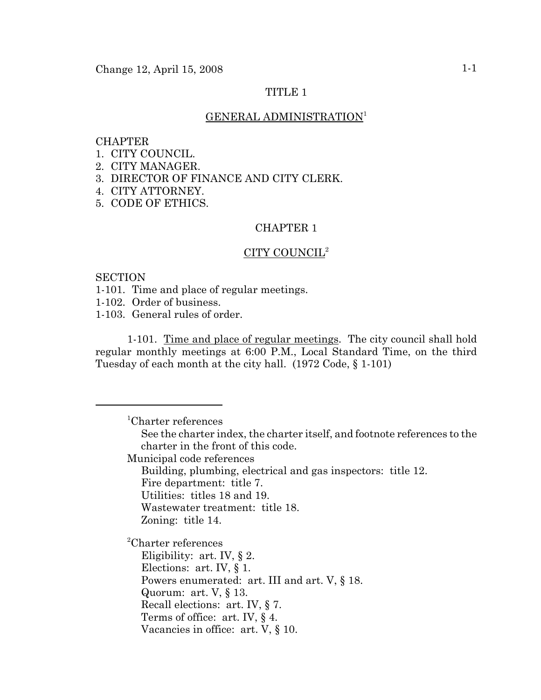## TITLE 1

## GENERAL ADMINISTRATION<sup>1</sup>

#### CHAPTER

- 1. CITY COUNCIL.
- 2. CITY MANAGER.
- 3. DIRECTOR OF FINANCE AND CITY CLERK.
- 4. CITY ATTORNEY.
- 5. CODE OF ETHICS.

## CHAPTER 1

#### CITY COUNCIL2

#### **SECTION**

1-101. Time and place of regular meetings.

1-102. Order of business.

1-103. General rules of order.

1-101. Time and place of regular meetings. The city council shall hold regular monthly meetings at 6:00 P.M., Local Standard Time, on the third Tuesday of each month at the city hall. (1972 Code, § 1-101)

1 Charter references

See the charter index, the charter itself, and footnote references to the charter in the front of this code.

Municipal code references

Building, plumbing, electrical and gas inspectors: title 12.

Fire department: title 7.

Utilities: titles 18 and 19.

Wastewater treatment: title 18.

Zoning: title 14.

2 Charter references

Eligibility: art. IV, § 2. Elections: art. IV, § 1. Powers enumerated: art. III and art. V, § 18. Quorum: art. V, § 13. Recall elections: art. IV, § 7. Terms of office: art. IV, § 4. Vacancies in office: art. V, § 10.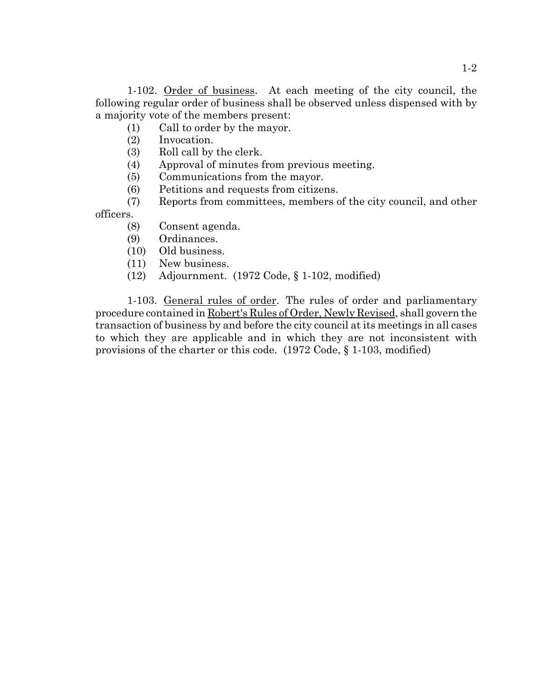1-102. Order of business. At each meeting of the city council, the following regular order of business shall be observed unless dispensed with by a majority vote of the members present:

(1) Call to order by the mayor.

- (2) Invocation.
- (3) Roll call by the clerk.
- (4) Approval of minutes from previous meeting.
- (5) Communications from the mayor.
- (6) Petitions and requests from citizens.
- (7) Reports from committees, members of the city council, and other

officers.

- (8) Consent agenda.
- (9) Ordinances.
- (10) Old business.
- (11) New business.
- (12) Adjournment. (1972 Code, § 1-102, modified)

1-103. General rules of order. The rules of order and parliamentary procedure contained in Robert's Rules of Order, Newly Revised, shall govern the transaction of business by and before the city council at its meetings in all cases to which they are applicable and in which they are not inconsistent with provisions of the charter or this code. (1972 Code, § 1-103, modified)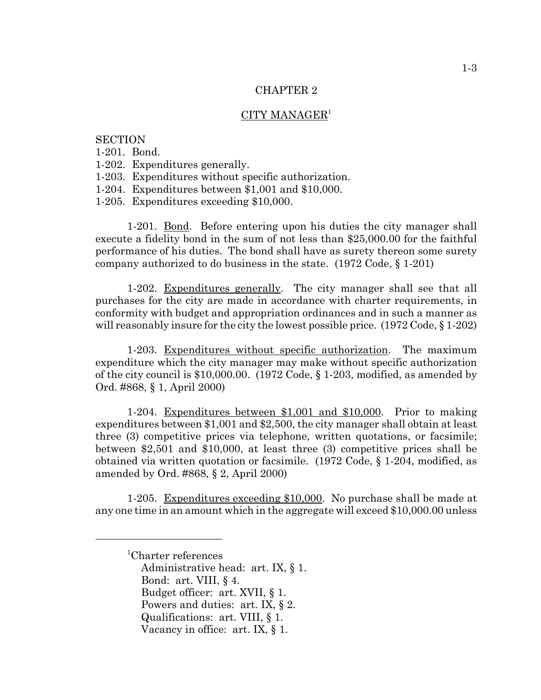## CITY MANAGER1

## **SECTION**

1-201. Bond.

1-202. Expenditures generally.

1-203. Expenditures without specific authorization.

1-204. Expenditures between \$1,001 and \$10,000.

1-205. Expenditures exceeding \$10,000.

1-201. Bond. Before entering upon his duties the city manager shall execute a fidelity bond in the sum of not less than \$25,000.00 for the faithful performance of his duties. The bond shall have as surety thereon some surety company authorized to do business in the state. (1972 Code, § 1-201)

1-202. Expenditures generally. The city manager shall see that all purchases for the city are made in accordance with charter requirements, in conformity with budget and appropriation ordinances and in such a manner as will reasonably insure for the city the lowest possible price. (1972 Code, § 1-202)

1-203. Expenditures without specific authorization. The maximum expenditure which the city manager may make without specific authorization of the city council is \$10,000.00. (1972 Code, § 1-203, modified, as amended by Ord. #868, § 1, April 2000)

1-204. Expenditures between \$1,001 and \$10,000. Prior to making expenditures between \$1,001 and \$2,500, the city manager shall obtain at least three (3) competitive prices via telephone, written quotations, or facsimile; between \$2,501 and \$10,000, at least three (3) competitive prices shall be obtained via written quotation or facsimile. (1972 Code, § 1-204, modified, as amended by Ord. #868, § 2, April 2000)

1-205. Expenditures exceeding \$10,000. No purchase shall be made at any one time in an amount which in the aggregate will exceed \$10,000.00 unless

Administrative head: art. IX, § 1. Bond: art. VIII, § 4. Budget officer: art. XVII, § 1.

Powers and duties: art. IX, § 2.

<sup>1</sup> Charter references

Qualifications: art. VIII, § 1.

Vacancy in office: art. IX, § 1.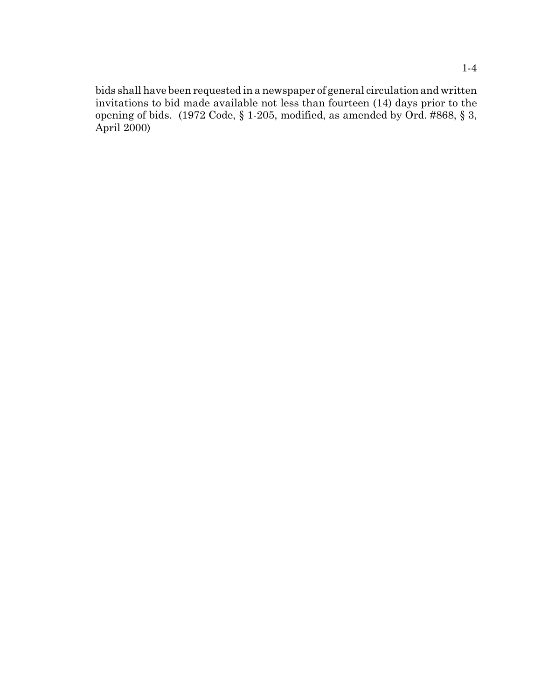bids shall have been requested in a newspaper of general circulation and written invitations to bid made available not less than fourteen (14) days prior to the opening of bids. (1972 Code, § 1-205, modified, as amended by Ord. #868, § 3, April 2000)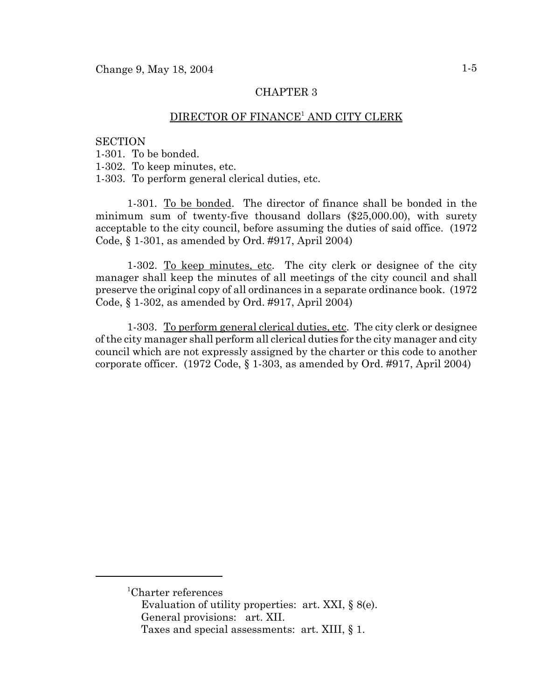# $\overline{\mathrm{DIRECTOR}}$  OF FINANCE<sup>1</sup> AND CITY CLERK

#### **SECTION**

1-301. To be bonded.

1-302. To keep minutes, etc.

1-303. To perform general clerical duties, etc.

1-301. To be bonded. The director of finance shall be bonded in the minimum sum of twenty-five thousand dollars (\$25,000.00), with surety acceptable to the city council, before assuming the duties of said office. (1972 Code, § 1-301, as amended by Ord. #917, April 2004)

1-302. To keep minutes, etc. The city clerk or designee of the city manager shall keep the minutes of all meetings of the city council and shall preserve the original copy of all ordinances in a separate ordinance book. (1972 Code, § 1-302, as amended by Ord. #917, April 2004)

1-303. To perform general clerical duties, etc. The city clerk or designee of the city manager shall perform all clerical duties for the city manager and city council which are not expressly assigned by the charter or this code to another corporate officer. (1972 Code, § 1-303, as amended by Ord. #917, April 2004)

<sup>1</sup> Charter references

Evaluation of utility properties: art. XXI, § 8(e). General provisions: art. XII.

Taxes and special assessments: art. XIII, § 1.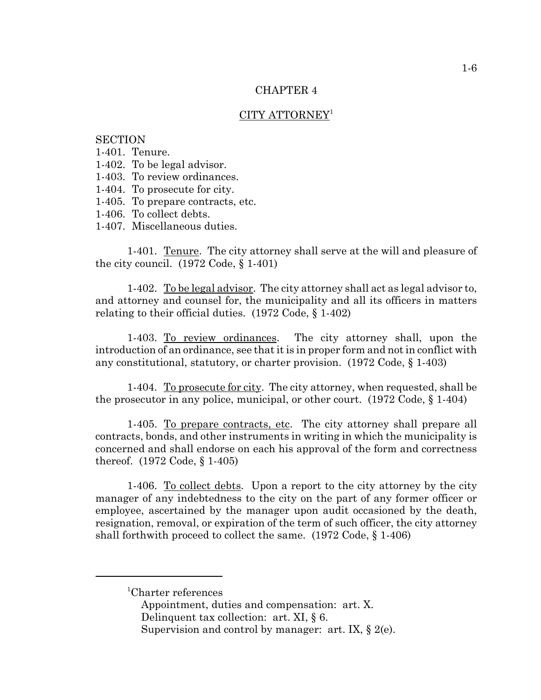## CITY ATTORNEY<sup>1</sup>

## **SECTION**

1-401. Tenure.

- 1-402. To be legal advisor.
- 1-403. To review ordinances.
- 1-404. To prosecute for city.
- 1-405. To prepare contracts, etc.
- 1-406. To collect debts.
- 1-407. Miscellaneous duties.

1-401. Tenure. The city attorney shall serve at the will and pleasure of the city council.  $(1972 \text{ Code}, \S 1-401)$ 

1-402. To be legal advisor. The city attorney shall act as legal advisor to, and attorney and counsel for, the municipality and all its officers in matters relating to their official duties. (1972 Code, § 1-402)

1-403. To review ordinances. The city attorney shall, upon the introduction of an ordinance, see that it is in proper form and not in conflict with any constitutional, statutory, or charter provision. (1972 Code, § 1-403)

1-404. To prosecute for city. The city attorney, when requested, shall be the prosecutor in any police, municipal, or other court. (1972 Code, § 1-404)

1-405. To prepare contracts, etc. The city attorney shall prepare all contracts, bonds, and other instruments in writing in which the municipality is concerned and shall endorse on each his approval of the form and correctness thereof. (1972 Code, § 1-405)

1-406. To collect debts. Upon a report to the city attorney by the city manager of any indebtedness to the city on the part of any former officer or employee, ascertained by the manager upon audit occasioned by the death, resignation, removal, or expiration of the term of such officer, the city attorney shall forthwith proceed to collect the same. (1972 Code, § 1-406)

<sup>1</sup> Charter references

Appointment, duties and compensation: art. X.

Delinquent tax collection: art. XI, § 6.

Supervision and control by manager: art. IX, § 2(e).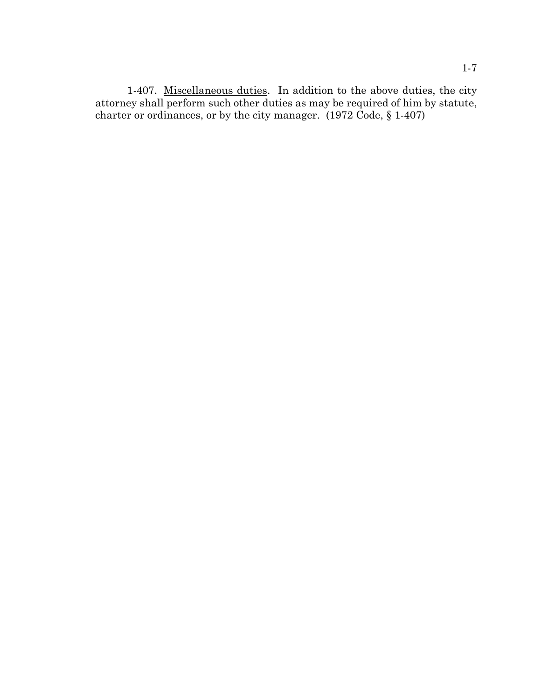1-407. Miscellaneous duties. In addition to the above duties, the city attorney shall perform such other duties as may be required of him by statute, charter or ordinances, or by the city manager. (1972 Code, § 1-407)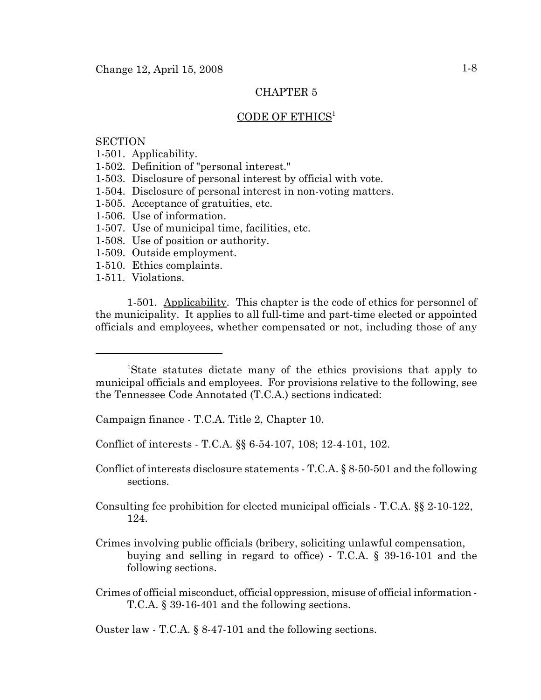### CODE OF ETHICS<sup>1</sup>

## **SECTION**

- 1-501. Applicability.
- 1-502. Definition of "personal interest."
- 1-503. Disclosure of personal interest by official with vote.
- 1-504. Disclosure of personal interest in non-voting matters.
- 1-505. Acceptance of gratuities, etc.
- 1-506. Use of information.
- 1-507. Use of municipal time, facilities, etc.
- 1-508. Use of position or authority.
- 1-509. Outside employment.
- 1-510. Ethics complaints.
- 1-511. Violations.

1-501. Applicability. This chapter is the code of ethics for personnel of the municipality. It applies to all full-time and part-time elected or appointed officials and employees, whether compensated or not, including those of any

Campaign finance - T.C.A. Title 2, Chapter 10.

Conflict of interests - T.C.A. §§ 6-54-107, 108; 12-4-101, 102.

Conflict of interests disclosure statements - T.C.A. § 8-50-501 and the following sections.

Consulting fee prohibition for elected municipal officials - T.C.A. §§ 2-10-122, 124.

Crimes involving public officials (bribery, soliciting unlawful compensation, buying and selling in regard to office) - T.C.A. § 39-16-101 and the following sections.

Crimes of official misconduct, official oppression, misuse of official information - T.C.A. § 39-16-401 and the following sections.

Ouster law - T.C.A. § 8-47-101 and the following sections.

<sup>&</sup>lt;sup>1</sup>State statutes dictate many of the ethics provisions that apply to municipal officials and employees. For provisions relative to the following, see the Tennessee Code Annotated (T.C.A.) sections indicated: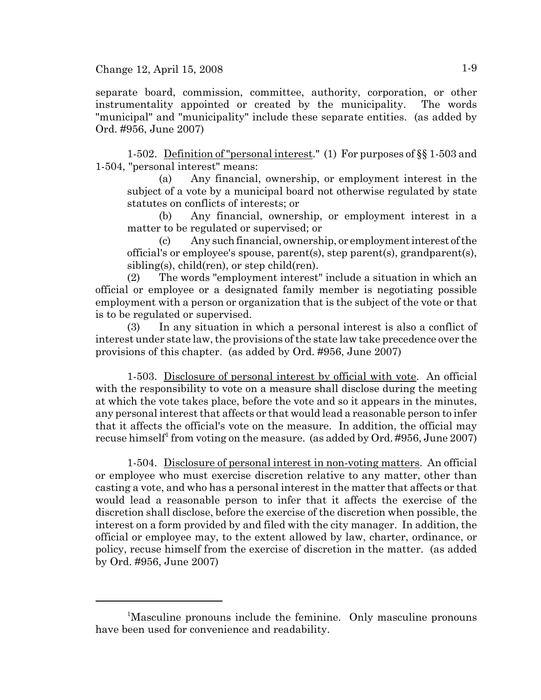separate board, commission, committee, authority, corporation, or other instrumentality appointed or created by the municipality. The words "municipal" and "municipality" include these separate entities. (as added by Ord. #956, June 2007)

1-502. Definition of "personal interest." (1) For purposes of §§ 1-503 and 1-504, "personal interest" means:

(a) Any financial, ownership, or employment interest in the subject of a vote by a municipal board not otherwise regulated by state statutes on conflicts of interests; or

(b) Any financial, ownership, or employment interest in a matter to be regulated or supervised; or

(c) Any such financial, ownership, or employment interest of the official's or employee's spouse, parent(s), step parent(s), grandparent(s), sibling(s), child(ren), or step child(ren).

(2) The words "employment interest" include a situation in which an official or employee or a designated family member is negotiating possible employment with a person or organization that is the subject of the vote or that is to be regulated or supervised.

(3) In any situation in which a personal interest is also a conflict of interest under state law, the provisions of the state law take precedence over the provisions of this chapter. (as added by Ord. #956, June 2007)

1-503. Disclosure of personal interest by official with vote. An official with the responsibility to vote on a measure shall disclose during the meeting at which the vote takes place, before the vote and so it appears in the minutes, any personal interest that affects or that would lead a reasonable person to infer that it affects the official's vote on the measure. In addition, the official may recuse himself<sup>1</sup> from voting on the measure. (as added by Ord. #956, June 2007)

1-504. Disclosure of personal interest in non-voting matters. An official or employee who must exercise discretion relative to any matter, other than casting a vote, and who has a personal interest in the matter that affects or that would lead a reasonable person to infer that it affects the exercise of the discretion shall disclose, before the exercise of the discretion when possible, the interest on a form provided by and filed with the city manager. In addition, the official or employee may, to the extent allowed by law, charter, ordinance, or policy, recuse himself from the exercise of discretion in the matter. (as added by Ord. #956, June 2007)

<sup>&</sup>lt;sup>1</sup>Masculine pronouns include the feminine. Only masculine pronouns have been used for convenience and readability.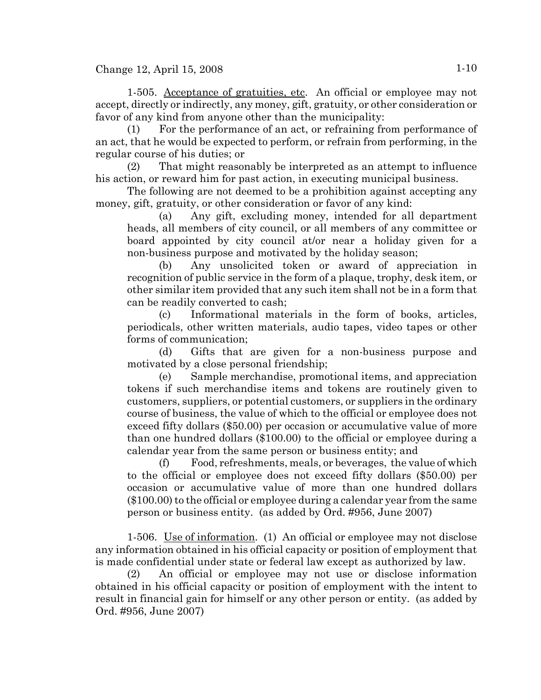1-505. Acceptance of gratuities, etc. An official or employee may not accept, directly or indirectly, any money, gift, gratuity, or other consideration or favor of any kind from anyone other than the municipality:

(1) For the performance of an act, or refraining from performance of an act, that he would be expected to perform, or refrain from performing, in the regular course of his duties; or

(2) That might reasonably be interpreted as an attempt to influence his action, or reward him for past action, in executing municipal business.

The following are not deemed to be a prohibition against accepting any money, gift, gratuity, or other consideration or favor of any kind:

(a) Any gift, excluding money, intended for all department heads, all members of city council, or all members of any committee or board appointed by city council at/or near a holiday given for a non-business purpose and motivated by the holiday season;

(b) Any unsolicited token or award of appreciation in recognition of public service in the form of a plaque, trophy, desk item, or other similar item provided that any such item shall not be in a form that can be readily converted to cash;

(c) Informational materials in the form of books, articles, periodicals, other written materials, audio tapes, video tapes or other forms of communication;

(d) Gifts that are given for a non-business purpose and motivated by a close personal friendship;

(e) Sample merchandise, promotional items, and appreciation tokens if such merchandise items and tokens are routinely given to customers, suppliers, or potential customers, or suppliers in the ordinary course of business, the value of which to the official or employee does not exceed fifty dollars (\$50.00) per occasion or accumulative value of more than one hundred dollars (\$100.00) to the official or employee during a calendar year from the same person or business entity; and

(f) Food, refreshments, meals, or beverages, the value of which to the official or employee does not exceed fifty dollars (\$50.00) per occasion or accumulative value of more than one hundred dollars (\$100.00) to the official or employee during a calendar year from the same person or business entity. (as added by Ord. #956, June 2007)

1-506. Use of information. (1) An official or employee may not disclose any information obtained in his official capacity or position of employment that is made confidential under state or federal law except as authorized by law.

(2) An official or employee may not use or disclose information obtained in his official capacity or position of employment with the intent to result in financial gain for himself or any other person or entity. (as added by Ord. #956, June 2007)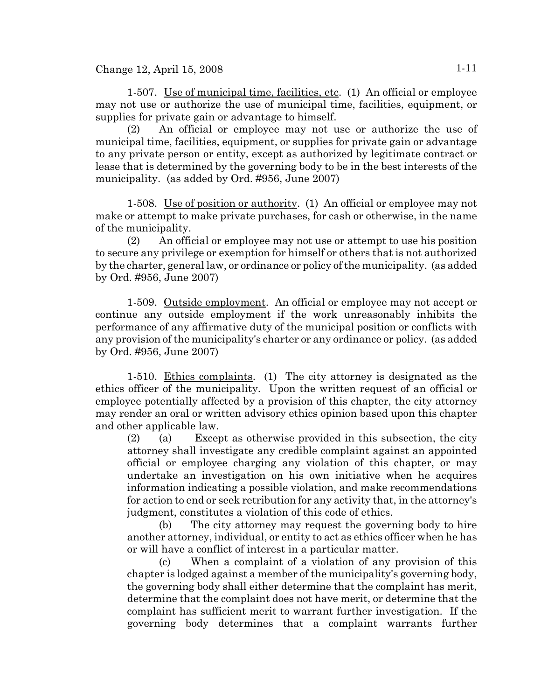1-507. Use of municipal time, facilities, etc. (1) An official or employee may not use or authorize the use of municipal time, facilities, equipment, or supplies for private gain or advantage to himself.

(2) An official or employee may not use or authorize the use of municipal time, facilities, equipment, or supplies for private gain or advantage to any private person or entity, except as authorized by legitimate contract or lease that is determined by the governing body to be in the best interests of the municipality. (as added by Ord. #956, June 2007)

1-508. Use of position or authority. (1) An official or employee may not make or attempt to make private purchases, for cash or otherwise, in the name of the municipality.

(2) An official or employee may not use or attempt to use his position to secure any privilege or exemption for himself or others that is not authorized by the charter, general law, or ordinance or policy of the municipality. (as added by Ord. #956, June 2007)

1-509. Outside employment. An official or employee may not accept or continue any outside employment if the work unreasonably inhibits the performance of any affirmative duty of the municipal position or conflicts with any provision of the municipality's charter or any ordinance or policy. (as added by Ord. #956, June 2007)

1-510. Ethics complaints. (1) The city attorney is designated as the ethics officer of the municipality. Upon the written request of an official or employee potentially affected by a provision of this chapter, the city attorney may render an oral or written advisory ethics opinion based upon this chapter and other applicable law.

(2) (a) Except as otherwise provided in this subsection, the city attorney shall investigate any credible complaint against an appointed official or employee charging any violation of this chapter, or may undertake an investigation on his own initiative when he acquires information indicating a possible violation, and make recommendations for action to end or seek retribution for any activity that, in the attorney's judgment, constitutes a violation of this code of ethics.

(b) The city attorney may request the governing body to hire another attorney, individual, or entity to act as ethics officer when he has or will have a conflict of interest in a particular matter.

(c) When a complaint of a violation of any provision of this chapter is lodged against a member of the municipality's governing body, the governing body shall either determine that the complaint has merit, determine that the complaint does not have merit, or determine that the complaint has sufficient merit to warrant further investigation. If the governing body determines that a complaint warrants further